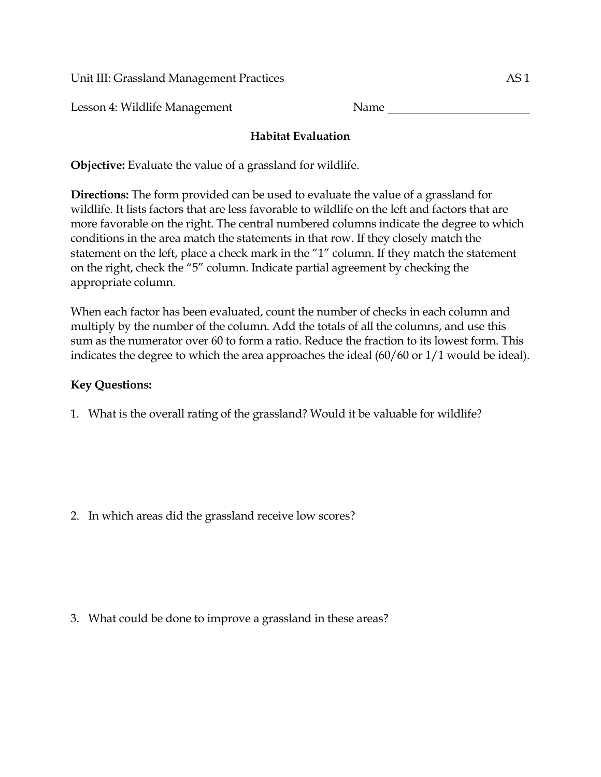Unit III: Grassland Management Practices AS 1

Lesson 4: Wildlife Management Name

## **Habitat Evaluation**

**Objective:** Evaluate the value of a grassland for wildlife.

**Directions:** The form provided can be used to evaluate the value of a grassland for wildlife. It lists factors that are less favorable to wildlife on the left and factors that are more favorable on the right. The central numbered columns indicate the degree to which conditions in the area match the statements in that row. If they closely match the statement on the left, place a check mark in the "1" column. If they match the statement on the right, check the "5" column. Indicate partial agreement by checking the appropriate column.

When each factor has been evaluated, count the number of checks in each column and multiply by the number of the column. Add the totals of all the columns, and use this sum as the numerator over 60 to form a ratio. Reduce the fraction to its lowest form. This indicates the degree to which the area approaches the ideal (60/60 or 1/1 would be ideal).

## **Key Questions:**

1. What is the overall rating of the grassland? Would it be valuable for wildlife?

2. In which areas did the grassland receive low scores?

3. What could be done to improve a grassland in these areas?